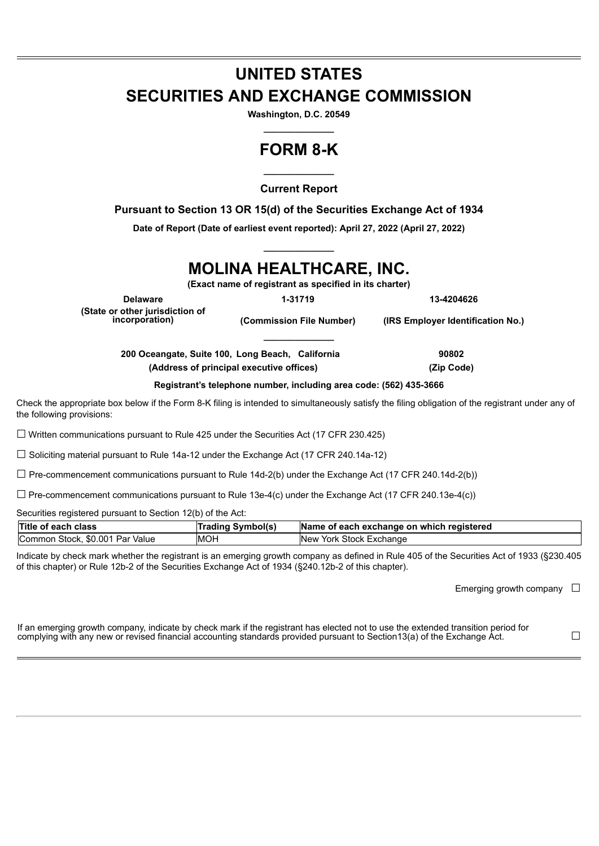## **UNITED STATES SECURITIES AND EXCHANGE COMMISSION**

**Washington, D.C. 20549 \_\_\_\_\_\_\_\_\_\_\_\_\_\_**

## **FORM 8-K**

**\_\_\_\_\_\_\_\_\_\_\_\_\_\_ Current Report**

**Pursuant to Section 13 OR 15(d) of the Securities Exchange Act of 1934**

**Date of Report (Date of earliest event reported): April 27, 2022 (April 27, 2022) \_\_\_\_\_\_\_\_\_\_\_\_\_\_**

# **MOLINA HEALTHCARE, INC.**

**(Exact name of registrant as specified in its charter)**

**\_\_\_\_\_\_\_\_\_\_\_\_\_\_**

**Delaware 1-31719 13-4204626 (State or other jurisdiction of**

**incorporation) (Commission File Number) (IRS Employer Identification No.)**

**200 Oceangate, Suite 100, Long Beach, California 90802**

**(Address of principal executive offices) (Zip Code)**

**Registrant's telephone number, including area code: (562) 435-3666**

Check the appropriate box below if the Form 8-K filing is intended to simultaneously satisfy the filing obligation of the registrant under any of the following provisions:

☐ Written communications pursuant to Rule 425 under the Securities Act (17 CFR 230.425)

☐ Soliciting material pursuant to Rule 14a-12 under the Exchange Act (17 CFR 240.14a-12)

 $\Box$  Pre-commencement communications pursuant to Rule 14d-2(b) under the Exchange Act (17 CFR 240.14d-2(b))

☐ Pre-commencement communications pursuant to Rule 13e-4(c) under the Exchange Act (17 CFR 240.13e-4(c))

Securities registered pursuant to Section 12(b) of the Act:

| Title of each class             | <b>Trading Symbol(s)</b> | Name of each exchange on which registered |
|---------------------------------|--------------------------|-------------------------------------------|
| Common Stock, \$0.001 Par Value | <b>IMOH</b>              | New York Stock Exchange                   |

Indicate by check mark whether the registrant is an emerging growth company as defined in Rule 405 of the Securities Act of 1933 (§230.405 of this chapter) or Rule 12b-2 of the Securities Exchange Act of 1934 (§240.12b-2 of this chapter).

Emerging growth company  $\Box$ 

| If an emerging growth company, indicate by check mark if the registrant has elected not to use the extended transition period for |  |
|-----------------------------------------------------------------------------------------------------------------------------------|--|
| complying with any new or revised financial accounting standards provided pursuant to Section13(a) of the Exchange Act.           |  |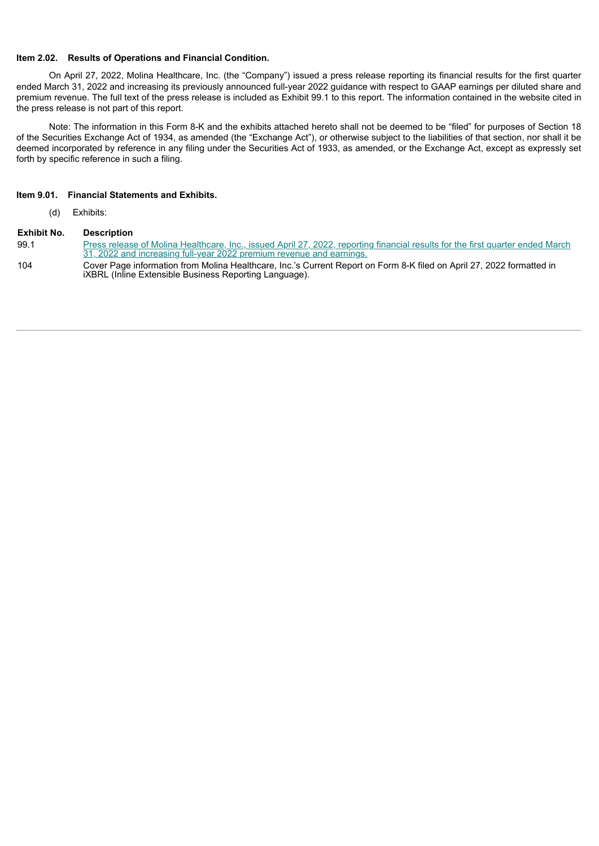#### **Item 2.02. Results of Operations and Financial Condition.**

On April 27, 2022, Molina Healthcare, Inc. (the "Company") issued a press release reporting its financial results for the first quarter ended March 31, 2022 and increasing its previously announced full-year 2022 guidance with respect to GAAP earnings per diluted share and premium revenue. The full text of the press release is included as Exhibit 99.1 to this report. The information contained in the website cited in the press release is not part of this report.

Note: The information in this Form 8-K and the exhibits attached hereto shall not be deemed to be "filed" for purposes of Section 18 of the Securities Exchange Act of 1934, as amended (the "Exchange Act"), or otherwise subject to the liabilities of that section, nor shall it be deemed incorporated by reference in any filing under the Securities Act of 1933, as amended, or the Exchange Act, except as expressly set forth by specific reference in such a filing.

#### **Item 9.01. Financial Statements and Exhibits.**

(d) Exhibits:

#### **Exhibit No. Description**

- 99.1 Press release of Molina [Healthcare,](#page-3-0) Inc., issued April 27, 2022, reporting financial results for the first quarter ended March 31, 2022 and increasing full-year 2022 premium revenue and earnings.
- 104 Cover Page information from Molina Healthcare, Inc.'s Current Report on Form 8-K filed on April 27, 2022 formatted in iXBRL (Inline Extensible Business Reporting Language).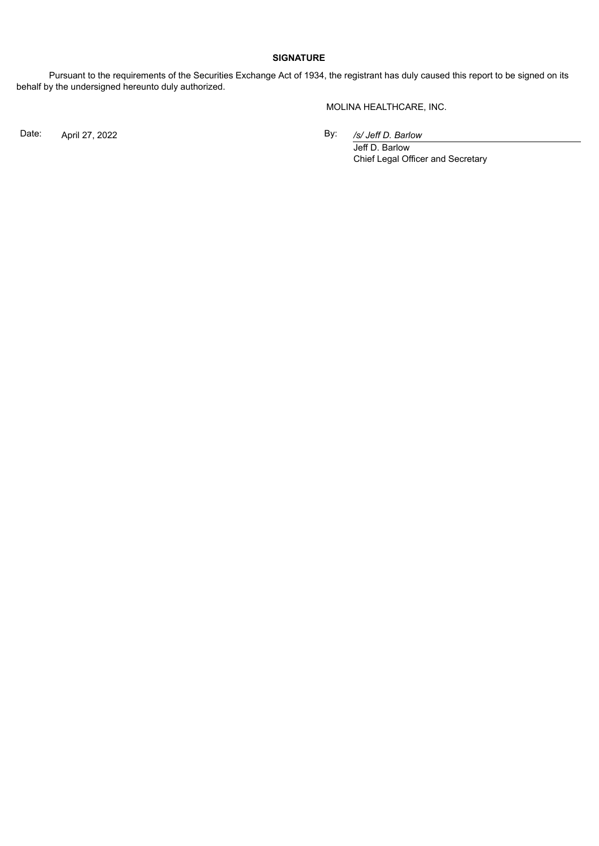#### **SIGNATURE**

Pursuant to the requirements of the Securities Exchange Act of 1934, the registrant has duly caused this report to be signed on its behalf by the undersigned hereunto duly authorized.

MOLINA HEALTHCARE, INC.

Date: April 27, 2022 By:

*/s/ Jeff D. Barlow*

Jeff D. Barlow Chief Legal Officer and Secretary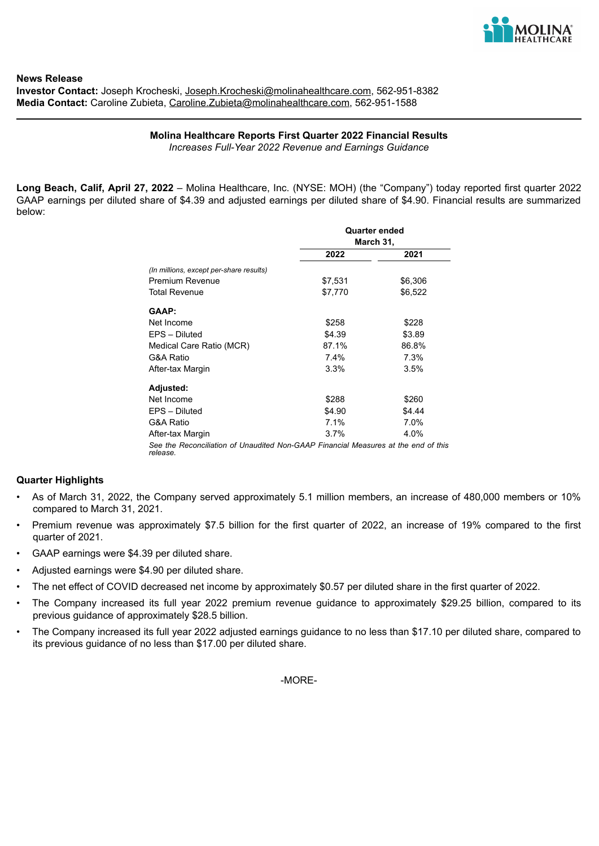

<span id="page-3-0"></span>**News Release Investor Contact:** Joseph Krocheski, Joseph.Krocheski@molinahealthcare.com, 562-951-8382 **Media Contact:** Caroline Zubieta, Caroline.Zubieta@molinahealthcare.com, 562-951-1588

> **Molina Healthcare Reports First Quarter 2022 Financial Results** *Increases Full-Year 2022 Revenue and Earnings Guidance*

**Long Beach, Calif, April 27, 2022** – Molina Healthcare, Inc. (NYSE: MOH) (the "Company") today reported first quarter 2022 GAAP earnings per diluted share of \$4.39 and adjusted earnings per diluted share of \$4.90. Financial results are summarized below:

|                                                                                    |         | <b>Quarter ended</b><br>March 31, |
|------------------------------------------------------------------------------------|---------|-----------------------------------|
|                                                                                    | 2022    | 2021                              |
| (In millions, except per-share results)                                            |         |                                   |
| <b>Premium Revenue</b>                                                             | \$7,531 | \$6,306                           |
| <b>Total Revenue</b>                                                               | \$7,770 | \$6,522                           |
| GAAP:                                                                              |         |                                   |
| Net Income                                                                         | \$258   | \$228                             |
| EPS - Diluted                                                                      | \$4.39  | \$3.89                            |
| Medical Care Ratio (MCR)                                                           | 87.1%   | 86.8%                             |
| G&A Ratio                                                                          | 7.4%    | 7.3%                              |
| After-tax Margin                                                                   | 3.3%    | 3.5%                              |
| Adjusted:                                                                          |         |                                   |
| Net Income                                                                         | \$288   | \$260                             |
| EPS - Diluted                                                                      | \$4.90  | \$4.44                            |
| G&A Ratio                                                                          | 7.1%    | 7.0%                              |
| After-tax Margin                                                                   | $3.7\%$ | 4.0%                              |
| See the Reconciliation of Unaudited Non-GAAP Financial Measures at the end of this |         |                                   |

#### **Quarter Highlights**

- As of March 31, 2022, the Company served approximately 5.1 million members, an increase of 480,000 members or 10% compared to March 31, 2021.
- Premium revenue was approximately \$7.5 billion for the first quarter of 2022, an increase of 19% compared to the first quarter of 2021.
- GAAP earnings were \$4.39 per diluted share.
- Adjusted earnings were \$4.90 per diluted share.

*release.*

- The net effect of COVID decreased net income by approximately \$0.57 per diluted share in the first quarter of 2022.
- The Company increased its full year 2022 premium revenue guidance to approximately \$29.25 billion, compared to its previous guidance of approximately \$28.5 billion.
- The Company increased its full year 2022 adjusted earnings guidance to no less than \$17.10 per diluted share, compared to its previous guidance of no less than \$17.00 per diluted share.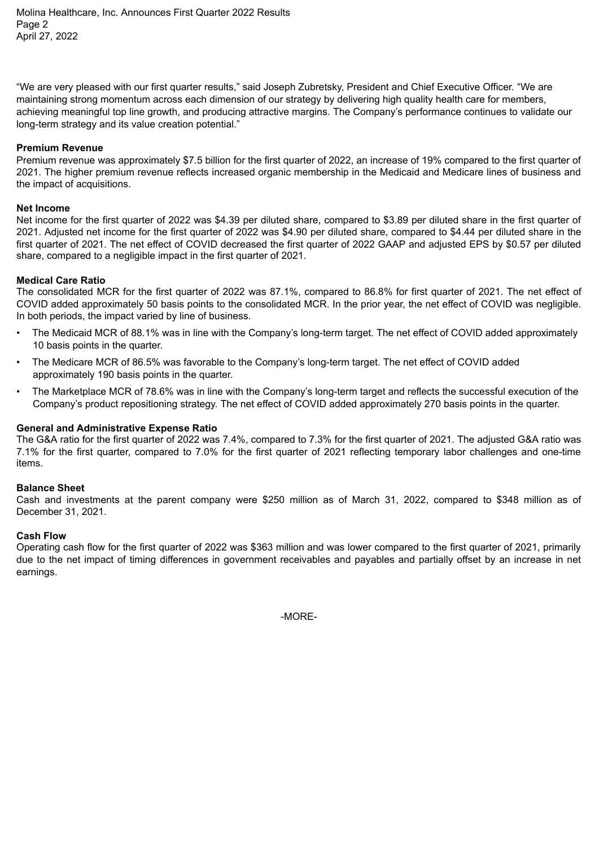Molina Healthcare, Inc. Announces First Quarter 2022 Results Page 2 April 27, 2022

"We are very pleased with our first quarter results," said Joseph Zubretsky, President and Chief Executive Officer. "We are maintaining strong momentum across each dimension of our strategy by delivering high quality health care for members, achieving meaningful top line growth, and producing attractive margins. The Company's performance continues to validate our long-term strategy and its value creation potential."

#### **Premium Revenue**

Premium revenue was approximately \$7.5 billion for the first quarter of 2022, an increase of 19% compared to the first quarter of 2021. The higher premium revenue reflects increased organic membership in the Medicaid and Medicare lines of business and the impact of acquisitions.

#### **Net Income**

Net income for the first quarter of 2022 was \$4.39 per diluted share, compared to \$3.89 per diluted share in the first quarter of 2021. Adjusted net income for the first quarter of 2022 was \$4.90 per diluted share, compared to \$4.44 per diluted share in the first quarter of 2021. The net effect of COVID decreased the first quarter of 2022 GAAP and adjusted EPS by \$0.57 per diluted share, compared to a negligible impact in the first quarter of 2021.

#### **Medical Care Ratio**

The consolidated MCR for the first quarter of 2022 was 87.1%, compared to 86.8% for first quarter of 2021. The net effect of COVID added approximately 50 basis points to the consolidated MCR. In the prior year, the net effect of COVID was negligible. In both periods, the impact varied by line of business.

- The Medicaid MCR of 88.1% was in line with the Company's long-term target. The net effect of COVID added approximately 10 basis points in the quarter.
- The Medicare MCR of 86.5% was favorable to the Company's long-term target. The net effect of COVID added approximately 190 basis points in the quarter.
- The Marketplace MCR of 78.6% was in line with the Company's long-term target and reflects the successful execution of the Company's product repositioning strategy. The net effect of COVID added approximately 270 basis points in the quarter.

#### **General and Administrative Expense Ratio**

The G&A ratio for the first quarter of 2022 was 7.4%, compared to 7.3% for the first quarter of 2021. The adjusted G&A ratio was 7.1% for the first quarter, compared to 7.0% for the first quarter of 2021 reflecting temporary labor challenges and one-time items.

#### **Balance Sheet**

Cash and investments at the parent company were \$250 million as of March 31, 2022, compared to \$348 million as of December 31, 2021.

#### **Cash Flow**

Operating cash flow for the first quarter of 2022 was \$363 million and was lower compared to the first quarter of 2021, primarily due to the net impact of timing differences in government receivables and payables and partially offset by an increase in net earnings.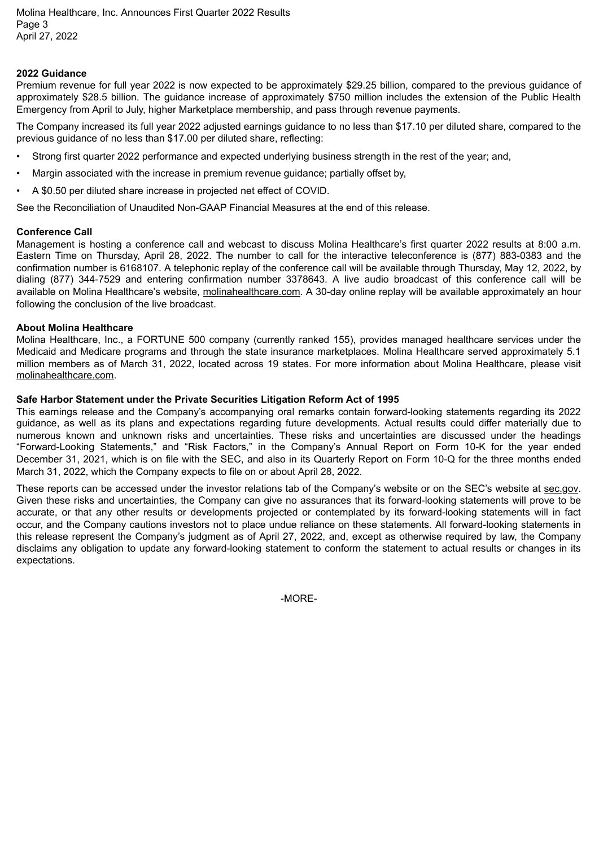Molina Healthcare, Inc. Announces First Quarter 2022 Results Page 3 April 27, 2022

#### **2022 Guidance**

Premium revenue for full year 2022 is now expected to be approximately \$29.25 billion, compared to the previous guidance of approximately \$28.5 billion. The guidance increase of approximately \$750 million includes the extension of the Public Health Emergency from April to July, higher Marketplace membership, and pass through revenue payments.

The Company increased its full year 2022 adjusted earnings guidance to no less than \$17.10 per diluted share, compared to the previous guidance of no less than \$17.00 per diluted share, reflecting:

- Strong first quarter 2022 performance and expected underlying business strength in the rest of the year; and,
- Margin associated with the increase in premium revenue guidance; partially offset by,
- A \$0.50 per diluted share increase in projected net effect of COVID.

See the Reconciliation of Unaudited Non-GAAP Financial Measures at the end of this release.

#### **Conference Call**

Management is hosting a conference call and webcast to discuss Molina Healthcare's first quarter 2022 results at 8:00 a.m. Eastern Time on Thursday, April 28, 2022. The number to call for the interactive teleconference is (877) 883-0383 and the confirmation number is 6168107. A telephonic replay of the conference call will be available through Thursday, May 12, 2022, by dialing (877) 344-7529 and entering confirmation number 3378643. A live audio broadcast of this conference call will be available on Molina Healthcare's website, molinahealthcare.com. A 30-day online replay will be available approximately an hour following the conclusion of the live broadcast.

#### **About Molina Healthcare**

Molina Healthcare, Inc., a FORTUNE 500 company (currently ranked 155), provides managed healthcare services under the Medicaid and Medicare programs and through the state insurance marketplaces. Molina Healthcare served approximately 5.1 million members as of March 31, 2022, located across 19 states. For more information about Molina Healthcare, please visit molinahealthcare.com.

#### **Safe Harbor Statement under the Private Securities Litigation Reform Act of 1995**

This earnings release and the Company's accompanying oral remarks contain forward-looking statements regarding its 2022 guidance, as well as its plans and expectations regarding future developments. Actual results could differ materially due to numerous known and unknown risks and uncertainties. These risks and uncertainties are discussed under the headings "Forward-Looking Statements," and "Risk Factors," in the Company's Annual Report on Form 10-K for the year ended December 31, 2021, which is on file with the SEC, and also in its Quarterly Report on Form 10-Q for the three months ended March 31, 2022, which the Company expects to file on or about April 28, 2022.

These reports can be accessed under the investor relations tab of the Company's website or on the SEC's website at sec.gov. Given these risks and uncertainties, the Company can give no assurances that its forward-looking statements will prove to be accurate, or that any other results or developments projected or contemplated by its forward-looking statements will in fact occur, and the Company cautions investors not to place undue reliance on these statements. All forward-looking statements in this release represent the Company's judgment as of April 27, 2022, and, except as otherwise required by law, the Company disclaims any obligation to update any forward-looking statement to conform the statement to actual results or changes in its expectations.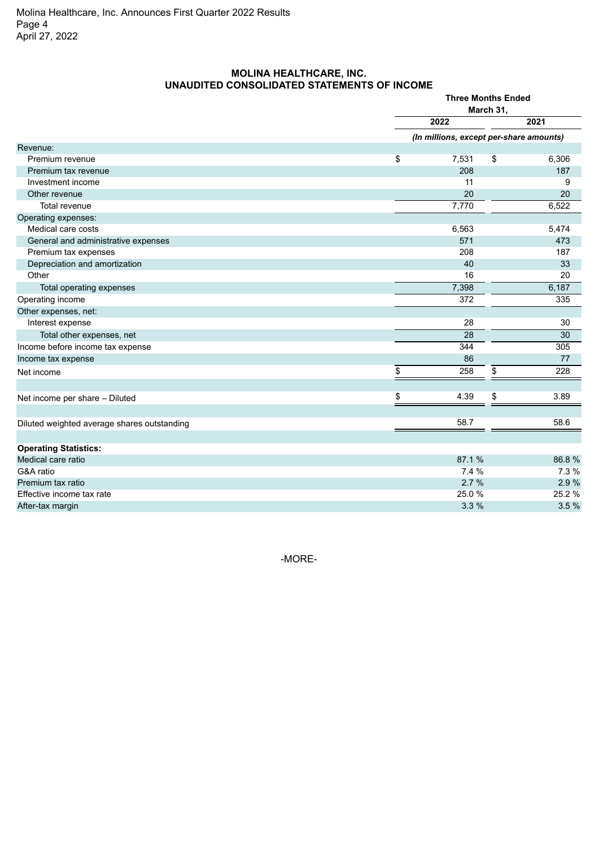### **MOLINA HEALTHCARE, INC. UNAUDITED CONSOLIDATED STATEMENTS OF INCOME**

|                                             | <b>Three Months Ended</b><br>March 31,  |        |  |  |
|---------------------------------------------|-----------------------------------------|--------|--|--|
|                                             | 2022                                    | 2021   |  |  |
|                                             | (In millions, except per-share amounts) |        |  |  |
| Revenue:                                    |                                         |        |  |  |
| Premium revenue                             | \$<br>\$<br>7,531                       | 6,306  |  |  |
| Premium tax revenue                         | 208                                     | 187    |  |  |
| Investment income                           | 11                                      | 9      |  |  |
| Other revenue                               | 20                                      | 20     |  |  |
| <b>Total revenue</b>                        | 7,770                                   | 6,522  |  |  |
| Operating expenses:                         |                                         |        |  |  |
| Medical care costs                          | 6,563                                   | 5,474  |  |  |
| General and administrative expenses         | 571                                     | 473    |  |  |
| Premium tax expenses                        | 208                                     | 187    |  |  |
| Depreciation and amortization               | 40                                      | 33     |  |  |
| Other                                       | 16                                      | 20     |  |  |
| Total operating expenses                    | 7,398                                   | 6,187  |  |  |
| Operating income                            | 372                                     | 335    |  |  |
| Other expenses, net:                        |                                         |        |  |  |
| Interest expense                            | 28                                      | 30     |  |  |
| Total other expenses, net                   | 28                                      | 30     |  |  |
| Income before income tax expense            | 344                                     | 305    |  |  |
| Income tax expense                          | 86                                      | 77     |  |  |
| Net income                                  | \$<br>258<br>\$                         | 228    |  |  |
| Net income per share - Diluted              | \$<br>4.39<br>\$                        | 3.89   |  |  |
|                                             |                                         |        |  |  |
| Diluted weighted average shares outstanding | 58.7                                    | 58.6   |  |  |
| <b>Operating Statistics:</b>                |                                         |        |  |  |
| Medical care ratio                          | 87.1%                                   | 86.8%  |  |  |
| G&A ratio                                   | 7.4 %                                   | 7.3 %  |  |  |
| Premium tax ratio                           | 2.7%                                    | 2.9%   |  |  |
| Effective income tax rate                   | 25.0%                                   | 25.2 % |  |  |
| After-tax margin                            | 3.3%                                    | 3.5%   |  |  |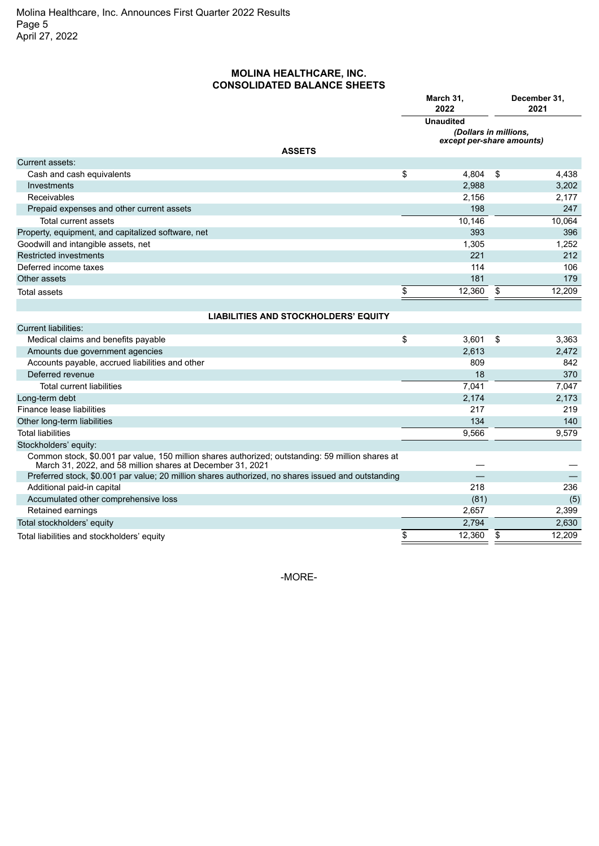### **MOLINA HEALTHCARE, INC. CONSOLIDATED BALANCE SHEETS**

|                                                                                                                                                                 | March 31,<br>2022                                                      |    | December 31,<br>2021 |
|-----------------------------------------------------------------------------------------------------------------------------------------------------------------|------------------------------------------------------------------------|----|----------------------|
|                                                                                                                                                                 | <b>Unaudited</b><br>(Dollars in millions,<br>except per-share amounts) |    |                      |
| <b>ASSETS</b>                                                                                                                                                   |                                                                        |    |                      |
| Current assets:                                                                                                                                                 |                                                                        |    |                      |
| Cash and cash equivalents                                                                                                                                       | \$<br>4,804                                                            | \$ | 4,438                |
| Investments                                                                                                                                                     | 2,988                                                                  |    | 3,202                |
| Receivables                                                                                                                                                     | 2,156<br>198                                                           |    | 2,177<br>247         |
| Prepaid expenses and other current assets                                                                                                                       |                                                                        |    |                      |
| Total current assets                                                                                                                                            | 10,146                                                                 |    | 10,064               |
| Property, equipment, and capitalized software, net                                                                                                              | 393                                                                    |    | 396                  |
| Goodwill and intangible assets, net                                                                                                                             | 1,305                                                                  |    | 1,252                |
| <b>Restricted investments</b>                                                                                                                                   | 221                                                                    |    | 212                  |
| Deferred income taxes                                                                                                                                           | 114                                                                    |    | 106                  |
| Other assets                                                                                                                                                    | 181                                                                    |    | 179                  |
| <b>Total assets</b>                                                                                                                                             | \$<br>12,360                                                           | \$ | 12,209               |
|                                                                                                                                                                 |                                                                        |    |                      |
| <b>LIABILITIES AND STOCKHOLDERS' EQUITY</b>                                                                                                                     |                                                                        |    |                      |
| <b>Current liabilities:</b>                                                                                                                                     |                                                                        |    |                      |
| Medical claims and benefits payable                                                                                                                             | \$<br>3,601                                                            | \$ | 3,363                |
| Amounts due government agencies                                                                                                                                 | 2,613                                                                  |    | 2,472                |
| Accounts payable, accrued liabilities and other                                                                                                                 | 809                                                                    |    | 842                  |
| Deferred revenue                                                                                                                                                | 18                                                                     |    | 370                  |
| <b>Total current liabilities</b>                                                                                                                                | 7,041                                                                  |    | 7,047                |
| Long-term debt                                                                                                                                                  | 2,174                                                                  |    | 2,173                |
| Finance lease liabilities                                                                                                                                       | 217                                                                    |    | 219                  |
| Other long-term liabilities                                                                                                                                     | 134                                                                    |    | 140                  |
| <b>Total liabilities</b>                                                                                                                                        | 9.566                                                                  |    | 9.579                |
| Stockholders' equity:                                                                                                                                           |                                                                        |    |                      |
| Common stock, \$0.001 par value, 150 million shares authorized; outstanding: 59 million shares at<br>March 31, 2022, and 58 million shares at December 31, 2021 |                                                                        |    |                      |
| Preferred stock, \$0.001 par value; 20 million shares authorized, no shares issued and outstanding                                                              |                                                                        |    |                      |
| Additional paid-in capital                                                                                                                                      | 218                                                                    |    | 236                  |
| Accumulated other comprehensive loss                                                                                                                            | (81)                                                                   |    | (5)                  |
| Retained earnings                                                                                                                                               | 2,657                                                                  |    | 2,399                |
| Total stockholders' equity                                                                                                                                      | 2,794                                                                  |    | 2,630                |
| Total liabilities and stockholders' equity                                                                                                                      | \$<br>12,360                                                           | \$ | 12,209               |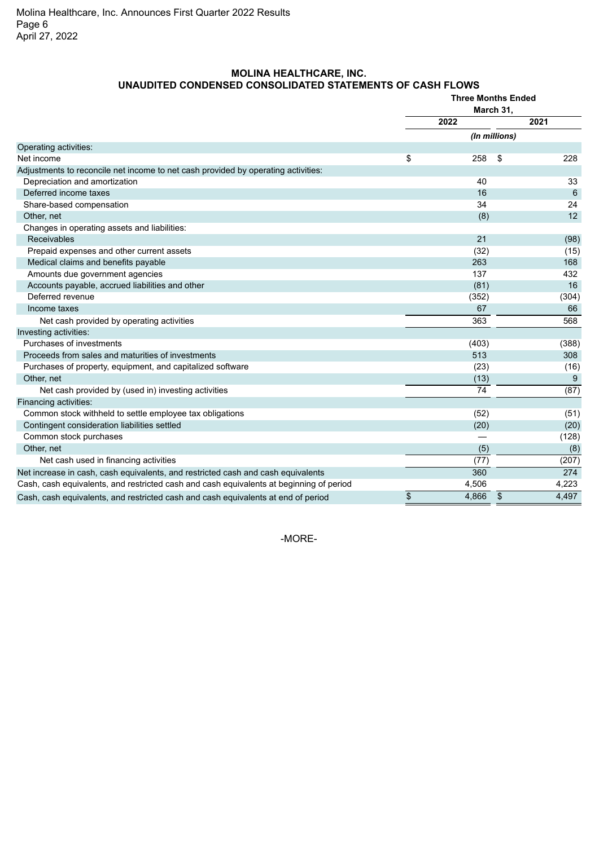## **MOLINA HEALTHCARE, INC. UNAUDITED CONDENSED CONSOLIDATED STATEMENTS OF CASH FLOWS**

|                                                                                         | <b>Three Months Ended</b><br>March 31, |               |    |       |  |
|-----------------------------------------------------------------------------------------|----------------------------------------|---------------|----|-------|--|
|                                                                                         | 2022                                   |               |    | 2021  |  |
|                                                                                         |                                        | (In millions) |    |       |  |
| Operating activities:                                                                   |                                        |               |    |       |  |
| Net income                                                                              | \$                                     | 258           | \$ | 228   |  |
| Adjustments to reconcile net income to net cash provided by operating activities:       |                                        |               |    |       |  |
| Depreciation and amortization                                                           |                                        | 40            |    | 33    |  |
| Deferred income taxes                                                                   |                                        | 16            |    | 6     |  |
| Share-based compensation                                                                |                                        | 34            |    | 24    |  |
| Other, net                                                                              |                                        | (8)           |    | 12    |  |
| Changes in operating assets and liabilities:                                            |                                        |               |    |       |  |
| Receivables                                                                             |                                        | 21            |    | (98)  |  |
| Prepaid expenses and other current assets                                               |                                        | (32)          |    | (15)  |  |
| Medical claims and benefits payable                                                     |                                        | 263           |    | 168   |  |
| Amounts due government agencies                                                         |                                        | 137           |    | 432   |  |
| Accounts payable, accrued liabilities and other                                         |                                        | (81)          |    | 16    |  |
| Deferred revenue                                                                        |                                        | (352)         |    | (304) |  |
| Income taxes                                                                            |                                        | 67            |    | 66    |  |
| Net cash provided by operating activities                                               |                                        | 363           |    | 568   |  |
| Investing activities:                                                                   |                                        |               |    |       |  |
| Purchases of investments                                                                |                                        | (403)         |    | (388) |  |
| Proceeds from sales and maturities of investments                                       |                                        | 513           |    | 308   |  |
| Purchases of property, equipment, and capitalized software                              |                                        | (23)          |    | (16)  |  |
| Other, net                                                                              |                                        | (13)          |    | 9     |  |
| Net cash provided by (used in) investing activities                                     |                                        | 74            |    | (87)  |  |
| Financing activities:                                                                   |                                        |               |    |       |  |
| Common stock withheld to settle employee tax obligations                                |                                        | (52)          |    | (51)  |  |
| Contingent consideration liabilities settled                                            |                                        | (20)          |    | (20)  |  |
| Common stock purchases                                                                  |                                        |               |    | (128) |  |
| Other, net                                                                              |                                        | (5)           |    | (8)   |  |
| Net cash used in financing activities                                                   |                                        | (77)          |    | (207) |  |
| Net increase in cash, cash equivalents, and restricted cash and cash equivalents        |                                        | 360           |    | 274   |  |
| Cash, cash equivalents, and restricted cash and cash equivalents at beginning of period |                                        | 4,506         |    | 4,223 |  |
| Cash, cash equivalents, and restricted cash and cash equivalents at end of period       | \$                                     | 4,866         | \$ | 4,497 |  |
|                                                                                         |                                        |               |    |       |  |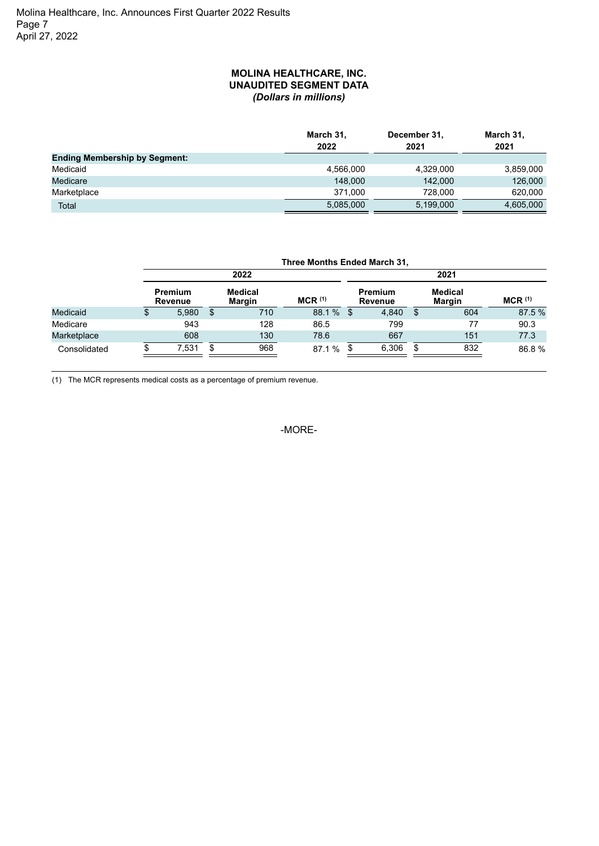#### **MOLINA HEALTHCARE, INC. UNAUDITED SEGMENT DATA** *(Dollars in millions)*

|                                      | March 31,<br>2022 | December 31,<br>2021 | March 31,<br>2021 |
|--------------------------------------|-------------------|----------------------|-------------------|
| <b>Ending Membership by Segment:</b> |                   |                      |                   |
| Medicaid                             | 4,566,000         | 4,329,000            | 3,859,000         |
| Medicare                             | 148,000           | 142.000              | 126,000           |
| Marketplace                          | 371.000           | 728,000              | 620,000           |
| Total                                | 5,085,000         | 5,199,000            | 4,605,000         |

|                 | Three Months Ended March 31,     |    |                          |             |    |                                  |     |                          |                      |
|-----------------|----------------------------------|----|--------------------------|-------------|----|----------------------------------|-----|--------------------------|----------------------|
|                 | 2022                             |    |                          |             |    | 2021                             |     |                          |                      |
|                 | <b>Premium</b><br><b>Revenue</b> |    | <b>Medical</b><br>Margin | $MCR$ $(1)$ |    | <b>Premium</b><br><b>Revenue</b> |     | <b>Medical</b><br>Margin | $MCR$ <sup>(1)</sup> |
| <b>Medicaid</b> | \$<br>5.980                      | \$ | 710                      | 88.1 %      | \$ | 4.840                            | \$. | 604                      | 87.5 %               |
| Medicare        | 943                              |    | 128                      | 86.5        |    | 799                              |     | 77                       | 90.3                 |
| Marketplace     | 608                              |    | 130                      | 78.6        |    | 667                              |     | 151                      | 77.3                 |
| Consolidated    | 7.531                            | S  | 968                      | 87.1 %      |    | 6,306                            |     | 832                      | 86.8%                |

(1) The MCR represents medical costs as a percentage of premium revenue.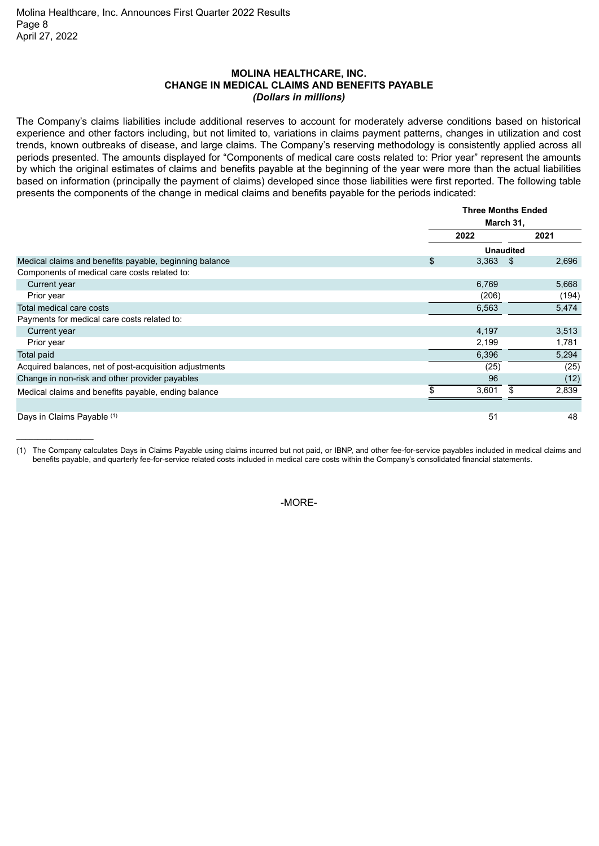\_\_\_\_\_\_\_\_\_\_\_\_\_\_\_\_\_\_

#### **MOLINA HEALTHCARE, INC. CHANGE IN MEDICAL CLAIMS AND BENEFITS PAYABLE** *(Dollars in millions)*

The Company's claims liabilities include additional reserves to account for moderately adverse conditions based on historical experience and other factors including, but not limited to, variations in claims payment patterns, changes in utilization and cost trends, known outbreaks of disease, and large claims. The Company's reserving methodology is consistently applied across all periods presented. The amounts displayed for "Components of medical care costs related to: Prior year" represent the amounts by which the original estimates of claims and benefits payable at the beginning of the year were more than the actual liabilities based on information (principally the payment of claims) developed since those liabilities were first reported. The following table presents the components of the change in medical claims and benefits payable for the periods indicated:

|                                                        |             | <b>Three Months Ended</b><br>March 31, |       |  |
|--------------------------------------------------------|-------------|----------------------------------------|-------|--|
|                                                        |             |                                        |       |  |
|                                                        | 2022        | 2021                                   |       |  |
|                                                        |             | <b>Unaudited</b>                       |       |  |
| Medical claims and benefits payable, beginning balance | 3,363<br>\$ | - \$                                   | 2,696 |  |
| Components of medical care costs related to:           |             |                                        |       |  |
| Current year                                           | 6,769       |                                        | 5,668 |  |
| Prior year                                             | (206)       |                                        | (194) |  |
| Total medical care costs                               | 6,563       |                                        | 5,474 |  |
| Payments for medical care costs related to:            |             |                                        |       |  |
| Current year                                           | 4,197       |                                        | 3,513 |  |
| Prior year                                             | 2,199       |                                        | 1,781 |  |
| Total paid                                             | 6,396       |                                        | 5,294 |  |
| Acquired balances, net of post-acquisition adjustments |             | (25)                                   | (25)  |  |
| Change in non-risk and other provider payables         |             | 96                                     | (12)  |  |
| Medical claims and benefits payable, ending balance    | 3,601       | S                                      | 2,839 |  |
|                                                        |             |                                        |       |  |
| Days in Claims Payable (1)                             |             | 51                                     | 48    |  |

(1) The Company calculates Days in Claims Payable using claims incurred but not paid, or IBNP, and other fee-for-service payables included in medical claims and benefits payable, and quarterly fee-for-service related costs included in medical care costs within the Company's consolidated financial statements.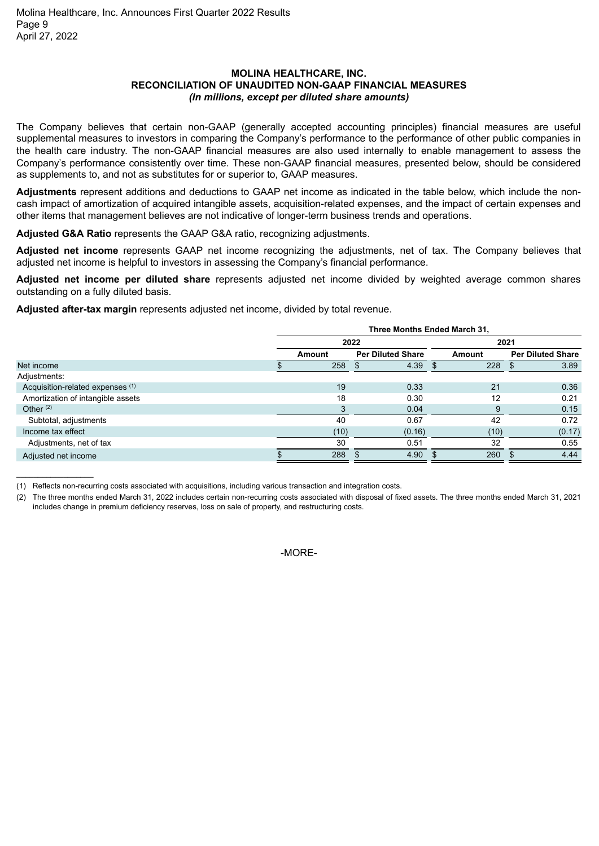#### **MOLINA HEALTHCARE, INC. RECONCILIATION OF UNAUDITED NON-GAAP FINANCIAL MEASURES** *(In millions, except per diluted share amounts)*

The Company believes that certain non-GAAP (generally accepted accounting principles) financial measures are useful supplemental measures to investors in comparing the Company's performance to the performance of other public companies in the health care industry. The non-GAAP financial measures are also used internally to enable management to assess the Company's performance consistently over time. These non-GAAP financial measures, presented below, should be considered as supplements to, and not as substitutes for or superior to, GAAP measures.

**Adjustments** represent additions and deductions to GAAP net income as indicated in the table below, which include the noncash impact of amortization of acquired intangible assets, acquisition-related expenses, and the impact of certain expenses and other items that management believes are not indicative of longer-term business trends and operations.

**Adjusted G&A Ratio** represents the GAAP G&A ratio, recognizing adjustments.

**Adjusted net income** represents GAAP net income recognizing the adjustments, net of tax. The Company believes that adjusted net income is helpful to investors in assessing the Company's financial performance.

**Adjusted net income per diluted share** represents adjusted net income divided by weighted average common shares outstanding on a fully diluted basis.

**Adjusted after-tax margin** represents adjusted net income, divided by total revenue.

| 2021                     |  |  |
|--------------------------|--|--|
| <b>Per Diluted Share</b> |  |  |
| 3.89                     |  |  |
|                          |  |  |
| 0.36                     |  |  |
| 0.21                     |  |  |
| 0.15                     |  |  |
| 0.72                     |  |  |
| (0.17)                   |  |  |
| 0.55                     |  |  |
| 4.44                     |  |  |
|                          |  |  |

<sup>(1)</sup> Reflects non-recurring costs associated with acquisitions, including various transaction and integration costs.

\_\_\_\_\_\_\_\_\_\_\_\_\_\_\_\_\_\_

(2) The three months ended March 31, 2022 includes certain non-recurring costs associated with disposal of fixed assets. The three months ended March 31, 2021 includes change in premium deficiency reserves, loss on sale of property, and restructuring costs.